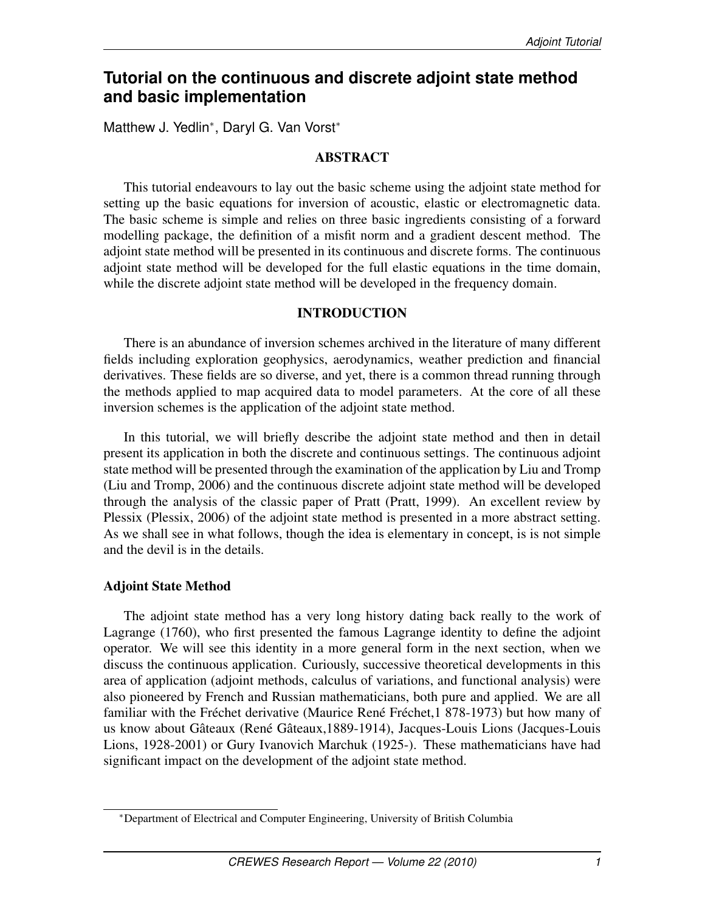# **Tutorial on the continuous and discrete adjoint state method and basic implementation**

Matthew J. Yedlin<sup>∗</sup> , Daryl G. Van Vorst<sup>∗</sup>

# ABSTRACT

This tutorial endeavours to lay out the basic scheme using the adjoint state method for setting up the basic equations for inversion of acoustic, elastic or electromagnetic data. The basic scheme is simple and relies on three basic ingredients consisting of a forward modelling package, the definition of a misfit norm and a gradient descent method. The adjoint state method will be presented in its continuous and discrete forms. The continuous adjoint state method will be developed for the full elastic equations in the time domain, while the discrete adjoint state method will be developed in the frequency domain.

# INTRODUCTION

There is an abundance of inversion schemes archived in the literature of many different fields including exploration geophysics, aerodynamics, weather prediction and financial derivatives. These fields are so diverse, and yet, there is a common thread running through the methods applied to map acquired data to model parameters. At the core of all these inversion schemes is the application of the adjoint state method.

In this tutorial, we will briefly describe the adjoint state method and then in detail present its application in both the discrete and continuous settings. The continuous adjoint state method will be presented through the examination of the application by Liu and Tromp (Liu and Tromp, 2006) and the continuous discrete adjoint state method will be developed through the analysis of the classic paper of Pratt (Pratt, 1999). An excellent review by Plessix (Plessix, 2006) of the adjoint state method is presented in a more abstract setting. As we shall see in what follows, though the idea is elementary in concept, is is not simple and the devil is in the details.

# Adjoint State Method

The adjoint state method has a very long history dating back really to the work of Lagrange (1760), who first presented the famous Lagrange identity to define the adjoint operator. We will see this identity in a more general form in the next section, when we discuss the continuous application. Curiously, successive theoretical developments in this area of application (adjoint methods, calculus of variations, and functional analysis) were also pioneered by French and Russian mathematicians, both pure and applied. We are all familiar with the Fréchet derivative (Maurice René Fréchet,1 878-1973) but how many of us know about Gâteaux (René Gâteaux,1889-1914), Jacques-Louis Lions (Jacques-Louis Lions, 1928-2001) or Gury Ivanovich Marchuk (1925-). These mathematicians have had significant impact on the development of the adjoint state method.

<sup>∗</sup>Department of Electrical and Computer Engineering, University of British Columbia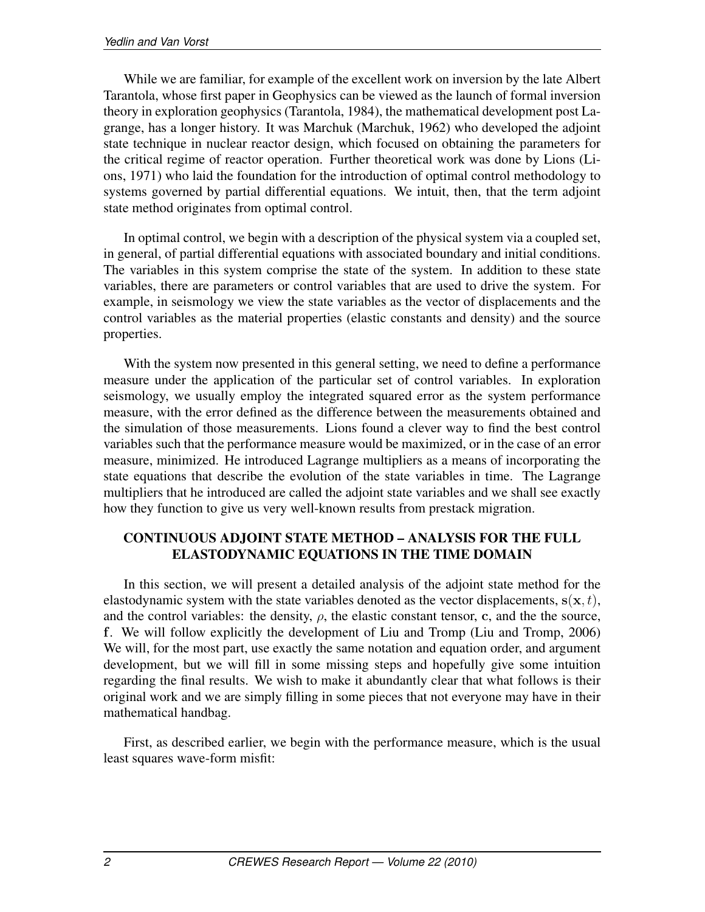While we are familiar, for example of the excellent work on inversion by the late Albert Tarantola, whose first paper in Geophysics can be viewed as the launch of formal inversion theory in exploration geophysics (Tarantola, 1984), the mathematical development post Lagrange, has a longer history. It was Marchuk (Marchuk, 1962) who developed the adjoint state technique in nuclear reactor design, which focused on obtaining the parameters for the critical regime of reactor operation. Further theoretical work was done by Lions (Lions, 1971) who laid the foundation for the introduction of optimal control methodology to systems governed by partial differential equations. We intuit, then, that the term adjoint state method originates from optimal control.

In optimal control, we begin with a description of the physical system via a coupled set, in general, of partial differential equations with associated boundary and initial conditions. The variables in this system comprise the state of the system. In addition to these state variables, there are parameters or control variables that are used to drive the system. For example, in seismology we view the state variables as the vector of displacements and the control variables as the material properties (elastic constants and density) and the source properties.

With the system now presented in this general setting, we need to define a performance measure under the application of the particular set of control variables. In exploration seismology, we usually employ the integrated squared error as the system performance measure, with the error defined as the difference between the measurements obtained and the simulation of those measurements. Lions found a clever way to find the best control variables such that the performance measure would be maximized, or in the case of an error measure, minimized. He introduced Lagrange multipliers as a means of incorporating the state equations that describe the evolution of the state variables in time. The Lagrange multipliers that he introduced are called the adjoint state variables and we shall see exactly how they function to give us very well-known results from prestack migration.

# CONTINUOUS ADJOINT STATE METHOD – ANALYSIS FOR THE FULL ELASTODYNAMIC EQUATIONS IN THE TIME DOMAIN

In this section, we will present a detailed analysis of the adjoint state method for the elastodynamic system with the state variables denoted as the vector displacements,  $s(x, t)$ , and the control variables: the density,  $\rho$ , the elastic constant tensor, c, and the the source, f. We will follow explicitly the development of Liu and Tromp (Liu and Tromp, 2006) We will, for the most part, use exactly the same notation and equation order, and argument development, but we will fill in some missing steps and hopefully give some intuition regarding the final results. We wish to make it abundantly clear that what follows is their original work and we are simply filling in some pieces that not everyone may have in their mathematical handbag.

First, as described earlier, we begin with the performance measure, which is the usual least squares wave-form misfit: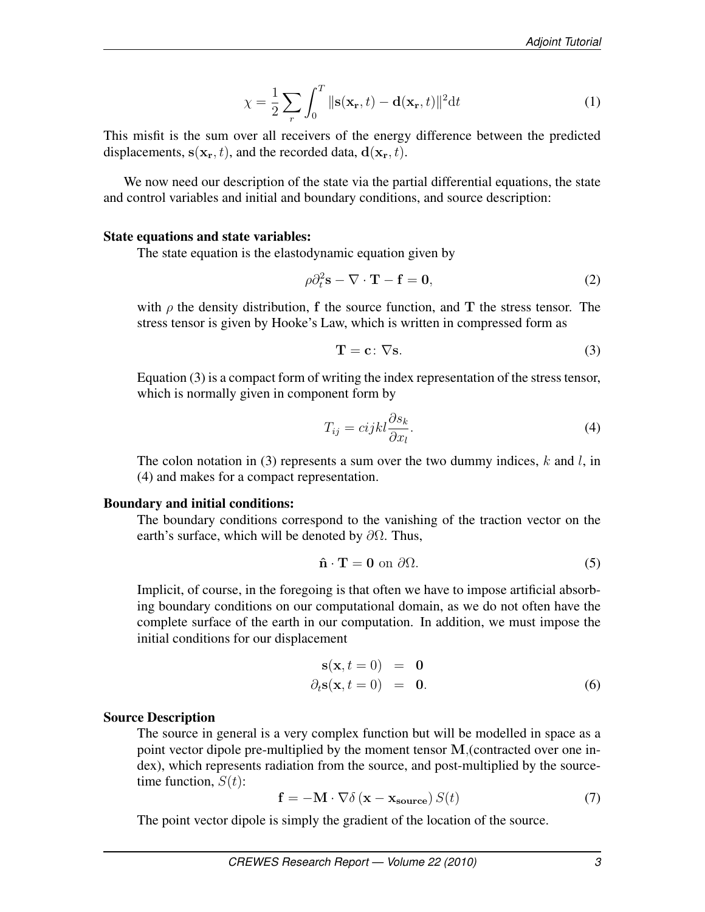$$
\chi = \frac{1}{2} \sum_{r} \int_{0}^{T} ||\mathbf{s}(\mathbf{x}_{r}, t) - \mathbf{d}(\mathbf{x}_{r}, t)||^{2} \mathrm{d}t \tag{1}
$$

This misfit is the sum over all receivers of the energy difference between the predicted displacements,  $s(\mathbf{x}_r, t)$ , and the recorded data,  $\mathbf{d}(\mathbf{x}_r, t)$ .

We now need our description of the state via the partial differential equations, the state and control variables and initial and boundary conditions, and source description:

### State equations and state variables:

The state equation is the elastodynamic equation given by

$$
\rho \partial_t^2 \mathbf{s} - \nabla \cdot \mathbf{T} - \mathbf{f} = \mathbf{0},\tag{2}
$$

with  $\rho$  the density distribution, f the source function, and T the stress tensor. The stress tensor is given by Hooke's Law, which is written in compressed form as

$$
\mathbf{T} = \mathbf{c} \colon \nabla \mathbf{s}.\tag{3}
$$

Equation (3) is a compact form of writing the index representation of the stress tensor, which is normally given in component form by

$$
T_{ij} = cijkl \frac{\partial s_k}{\partial x_l}.
$$
\n(4)

The colon notation in (3) represents a sum over the two dummy indices,  $k$  and  $l$ , in (4) and makes for a compact representation.

## Boundary and initial conditions:

The boundary conditions correspond to the vanishing of the traction vector on the earth's surface, which will be denoted by  $\partial\Omega$ . Thus,

$$
\hat{\mathbf{n}} \cdot \mathbf{T} = \mathbf{0} \text{ on } \partial \Omega. \tag{5}
$$

Implicit, of course, in the foregoing is that often we have to impose artificial absorbing boundary conditions on our computational domain, as we do not often have the complete surface of the earth in our computation. In addition, we must impose the initial conditions for our displacement

$$
\mathbf{s}(\mathbf{x}, t = 0) = \mathbf{0} \n\partial_t \mathbf{s}(\mathbf{x}, t = 0) = \mathbf{0}.
$$
\n(6)

## Source Description

The source in general is a very complex function but will be modelled in space as a point vector dipole pre-multiplied by the moment tensor M,(contracted over one index), which represents radiation from the source, and post-multiplied by the sourcetime function,  $S(t)$ :

$$
\mathbf{f} = -\mathbf{M} \cdot \nabla \delta \left( \mathbf{x} - \mathbf{x}_{\text{source}} \right) S(t) \tag{7}
$$

The point vector dipole is simply the gradient of the location of the source.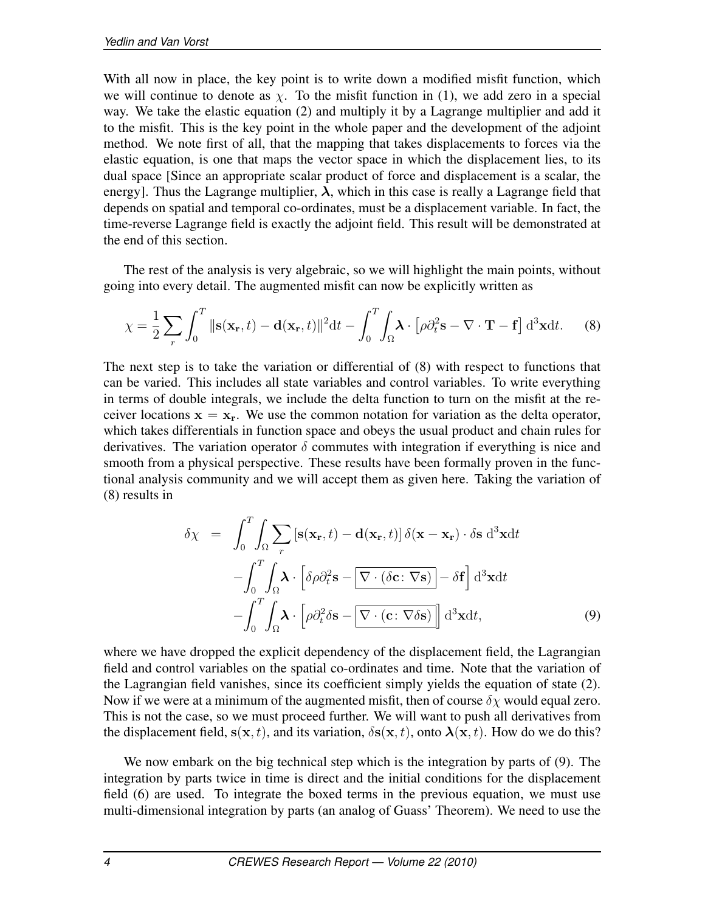With all now in place, the key point is to write down a modified misfit function, which we will continue to denote as  $\chi$ . To the misfit function in (1), we add zero in a special way. We take the elastic equation (2) and multiply it by a Lagrange multiplier and add it to the misfit. This is the key point in the whole paper and the development of the adjoint method. We note first of all, that the mapping that takes displacements to forces via the elastic equation, is one that maps the vector space in which the displacement lies, to its dual space [Since an appropriate scalar product of force and displacement is a scalar, the energy]. Thus the Lagrange multiplier,  $\lambda$ , which in this case is really a Lagrange field that depends on spatial and temporal co-ordinates, must be a displacement variable. In fact, the time-reverse Lagrange field is exactly the adjoint field. This result will be demonstrated at the end of this section.

The rest of the analysis is very algebraic, so we will highlight the main points, without going into every detail. The augmented misfit can now be explicitly written as

$$
\chi = \frac{1}{2} \sum_{r} \int_{0}^{T} ||\mathbf{s}(\mathbf{x}_{r}, t) - \mathbf{d}(\mathbf{x}_{r}, t)||^{2} \mathrm{d}t - \int_{0}^{T} \int_{\Omega} \boldsymbol{\lambda} \cdot \left[ \rho \partial_{t}^{2} \mathbf{s} - \nabla \cdot \mathbf{T} - \mathbf{f} \right] \mathrm{d}^{3} \mathbf{x} \mathrm{d}t. \tag{8}
$$

The next step is to take the variation or differential of (8) with respect to functions that can be varied. This includes all state variables and control variables. To write everything in terms of double integrals, we include the delta function to turn on the misfit at the receiver locations  $x = x_r$ . We use the common notation for variation as the delta operator, which takes differentials in function space and obeys the usual product and chain rules for derivatives. The variation operator  $\delta$  commutes with integration if everything is nice and smooth from a physical perspective. These results have been formally proven in the functional analysis community and we will accept them as given here. Taking the variation of (8) results in

$$
\delta \chi = \int_0^T \int_{\Omega} \sum_r \left[ \mathbf{s}(\mathbf{x}_r, t) - \mathbf{d}(\mathbf{x}_r, t) \right] \delta(\mathbf{x} - \mathbf{x}_r) \cdot \delta \mathbf{s} \, d^3 \mathbf{x} dt \n- \int_0^T \int_{\Omega} \mathbf{\lambda} \cdot \left[ \delta \rho \partial_t^2 \mathbf{s} - \nabla \cdot (\delta \mathbf{c} \cdot \nabla \mathbf{s}) \right] - \delta \mathbf{f} \right] d^3 \mathbf{x} dt \n- \int_0^T \int_{\Omega} \mathbf{\lambda} \cdot \left[ \rho \partial_t^2 \delta \mathbf{s} - \nabla \cdot (\mathbf{c} \cdot \nabla \delta \mathbf{s}) \right] d^3 \mathbf{x} dt,
$$
\n(9)

where we have dropped the explicit dependency of the displacement field, the Lagrangian field and control variables on the spatial co-ordinates and time. Note that the variation of the Lagrangian field vanishes, since its coefficient simply yields the equation of state (2). Now if we were at a minimum of the augmented misfit, then of course  $\delta \chi$  would equal zero. This is not the case, so we must proceed further. We will want to push all derivatives from the displacement field,  $s(x, t)$ , and its variation,  $\delta s(x, t)$ , onto  $\lambda(x, t)$ . How do we do this?

We now embark on the big technical step which is the integration by parts of (9). The integration by parts twice in time is direct and the initial conditions for the displacement field (6) are used. To integrate the boxed terms in the previous equation, we must use multi-dimensional integration by parts (an analog of Guass' Theorem). We need to use the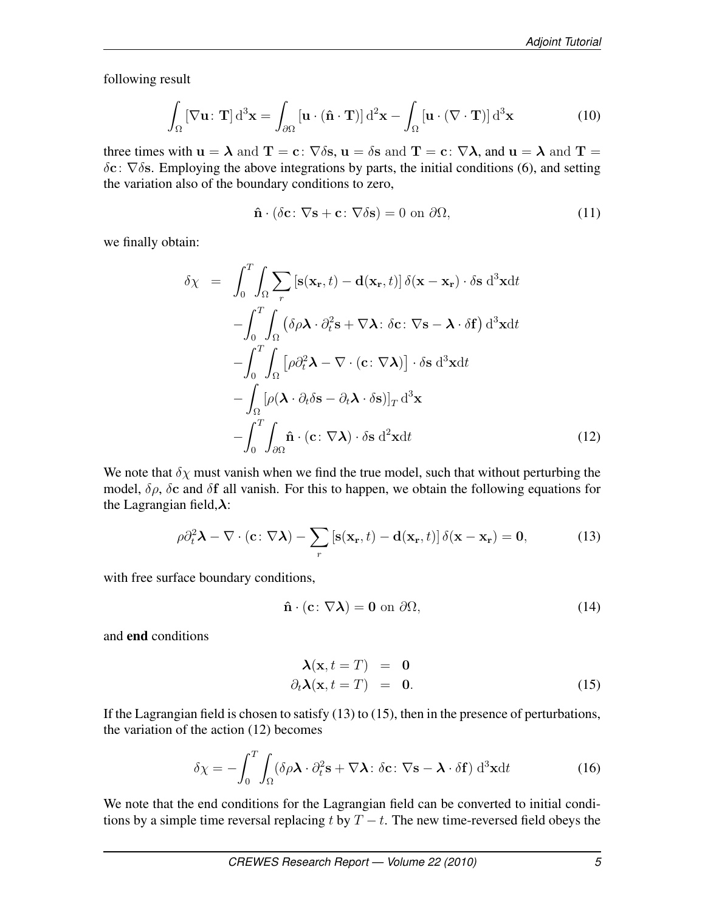following result

$$
\int_{\Omega} \left[ \nabla \mathbf{u} : \mathbf{T} \right] d^3 \mathbf{x} = \int_{\partial \Omega} \left[ \mathbf{u} \cdot (\hat{\mathbf{n}} \cdot \mathbf{T}) \right] d^2 \mathbf{x} - \int_{\Omega} \left[ \mathbf{u} \cdot (\nabla \cdot \mathbf{T}) \right] d^3 \mathbf{x} \tag{10}
$$

three times with  $u = \lambda$  and  $T = c$ :  $\nabla \delta s$ ,  $u = \delta s$  and  $T = c$ :  $\nabla \lambda$ , and  $u = \lambda$  and  $T = c$  $\delta$ c:  $\nabla$  $\delta$ s. Employing the above integrations by parts, the initial conditions (6), and setting the variation also of the boundary conditions to zero,

$$
\hat{\mathbf{n}} \cdot (\delta \mathbf{c} \colon \nabla \mathbf{s} + \mathbf{c} \colon \nabla \delta \mathbf{s}) = 0 \text{ on } \partial \Omega,
$$
\n(11)

we finally obtain:

$$
\delta \chi = \int_0^T \int_{\Omega} \sum_r \left[ \mathbf{s}(\mathbf{x}_r, t) - \mathbf{d}(\mathbf{x}_r, t) \right] \delta(\mathbf{x} - \mathbf{x}_r) \cdot \delta \mathbf{s} \, d^3 \mathbf{x} dt \n- \int_0^T \int_{\Omega} \left( \delta \rho \mathbf{\lambda} \cdot \partial_t^2 \mathbf{s} + \nabla \mathbf{\lambda} \cdot \delta \mathbf{c} \cdot \nabla \mathbf{s} - \mathbf{\lambda} \cdot \delta \mathbf{f} \right) d^3 \mathbf{x} dt \n- \int_0^T \int_{\Omega} \left[ \rho \partial_t^2 \mathbf{\lambda} - \nabla \cdot (\mathbf{c} \cdot \nabla \mathbf{\lambda}) \right] \cdot \delta \mathbf{s} \, d^3 \mathbf{x} dt \n- \int_{\Omega} \left[ \rho(\mathbf{\lambda} \cdot \partial_t \delta \mathbf{s} - \partial_t \mathbf{\lambda} \cdot \delta \mathbf{s}) \right]_T d^3 \mathbf{x} \n- \int_0^T \int_{\partial \Omega} \hat{\mathbf{n}} \cdot (\mathbf{c} \cdot \nabla \mathbf{\lambda}) \cdot \delta \mathbf{s} \, d^2 \mathbf{x} dt
$$
\n(12)

We note that  $\delta \chi$  must vanish when we find the true model, such that without perturbing the model,  $\delta \rho$ ,  $\delta c$  and  $\delta f$  all vanish. For this to happen, we obtain the following equations for the Lagrangian field, $\lambda$ :

$$
\rho \partial_t^2 \mathbf{\lambda} - \nabla \cdot (\mathbf{c} : \nabla \mathbf{\lambda}) - \sum_r [\mathbf{s}(\mathbf{x}_r, t) - \mathbf{d}(\mathbf{x}_r, t)] \, \delta(\mathbf{x} - \mathbf{x}_r) = \mathbf{0}, \tag{13}
$$

with free surface boundary conditions,

$$
\hat{\mathbf{n}} \cdot (\mathbf{c} \colon \nabla \lambda) = \mathbf{0} \text{ on } \partial \Omega,
$$
\n(14)

and end conditions

$$
\begin{aligned}\n\lambda(\mathbf{x}, t = T) &= \mathbf{0} \\
\partial_t \lambda(\mathbf{x}, t = T) &= \mathbf{0}.\n\end{aligned}
$$
\n(15)

If the Lagrangian field is chosen to satisfy (13) to (15), then in the presence of perturbations, the variation of the action (12) becomes

$$
\delta \chi = -\int_0^T \int_{\Omega} (\delta \rho \mathbf{\lambda} \cdot \partial_t^2 \mathbf{s} + \nabla \mathbf{\lambda} \cdot \delta \mathbf{c} \cdot \nabla \mathbf{s} - \mathbf{\lambda} \cdot \delta \mathbf{f}) \, \mathrm{d}^3 \mathbf{x} \mathrm{d}t \tag{16}
$$

We note that the end conditions for the Lagrangian field can be converted to initial conditions by a simple time reversal replacing t by  $T - t$ . The new time-reversed field obeys the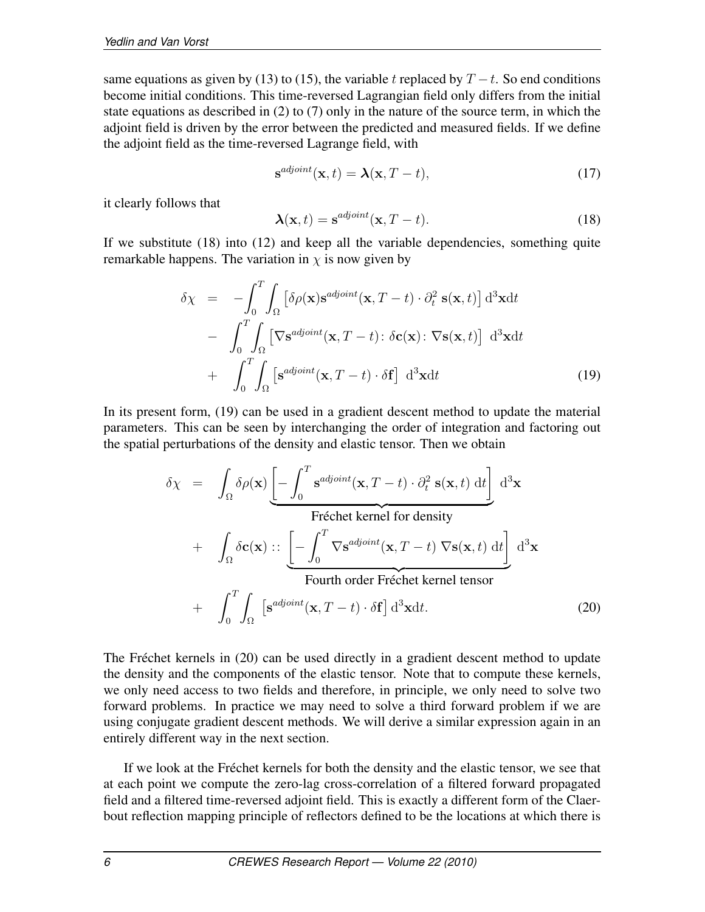same equations as given by (13) to (15), the variable t replaced by  $T - t$ . So end conditions become initial conditions. This time-reversed Lagrangian field only differs from the initial state equations as described in (2) to (7) only in the nature of the source term, in which the adjoint field is driven by the error between the predicted and measured fields. If we define the adjoint field as the time-reversed Lagrange field, with

$$
\mathbf{s}^{adjoint}(\mathbf{x},t) = \boldsymbol{\lambda}(\mathbf{x},T-t),\tag{17}
$$

it clearly follows that

$$
\mathbf{\lambda}(\mathbf{x},t) = \mathbf{s}^{adjoint}(\mathbf{x},T-t). \tag{18}
$$

If we substitute (18) into (12) and keep all the variable dependencies, something quite remarkable happens. The variation in  $\chi$  is now given by

$$
\delta \chi = -\int_0^T \int_{\Omega} \left[ \delta \rho(\mathbf{x}) \mathbf{s}^{adjoint}(\mathbf{x}, T - t) \cdot \partial_t^2 \mathbf{s}(\mathbf{x}, t) \right] d^3 \mathbf{x} dt \n- \int_0^T \int_{\Omega} \left[ \nabla \mathbf{s}^{adjoint}(\mathbf{x}, T - t) \cdot \delta \mathbf{c}(\mathbf{x}) \cdot \nabla \mathbf{s}(\mathbf{x}, t) \right] d^3 \mathbf{x} dt \n+ \int_0^T \int_{\Omega} \left[ \mathbf{s}^{adjoint}(\mathbf{x}, T - t) \cdot \delta \mathbf{f} \right] d^3 \mathbf{x} dt
$$
\n(19)

In its present form, (19) can be used in a gradient descent method to update the material parameters. This can be seen by interchanging the order of integration and factoring out the spatial perturbations of the density and elastic tensor. Then we obtain

$$
\delta \chi = \int_{\Omega} \delta \rho(\mathbf{x}) \underbrace{\left[ - \int_{0}^{T} \mathbf{s}^{adjoint}(\mathbf{x}, T - t) \cdot \partial_{t}^{2} \mathbf{s}(\mathbf{x}, t) dt \right]}_{\text{Fréchet kernel for density}} d^{3} \mathbf{x}
$$
  
+ 
$$
\int_{\Omega} \delta \mathbf{c}(\mathbf{x}) :: \underbrace{\left[ - \int_{0}^{T} \nabla \mathbf{s}^{adjoint}(\mathbf{x}, T - t) \nabla \mathbf{s}(\mathbf{x}, t) dt \right]}_{\text{Fourth order Fréchet kernel tensor}} d^{3} \mathbf{x}
$$
  
+ 
$$
\int_{0}^{T} \int_{\Omega} \left[ \mathbf{s}^{adjoint}(\mathbf{x}, T - t) \cdot \delta \mathbf{f} \right] d^{3} \mathbf{x} dt.
$$
 (20)

The Fréchet kernels in (20) can be used directly in a gradient descent method to update the density and the components of the elastic tensor. Note that to compute these kernels, we only need access to two fields and therefore, in principle, we only need to solve two forward problems. In practice we may need to solve a third forward problem if we are using conjugate gradient descent methods. We will derive a similar expression again in an entirely different way in the next section.

If we look at the Fréchet kernels for both the density and the elastic tensor, we see that at each point we compute the zero-lag cross-correlation of a filtered forward propagated field and a filtered time-reversed adjoint field. This is exactly a different form of the Claerbout reflection mapping principle of reflectors defined to be the locations at which there is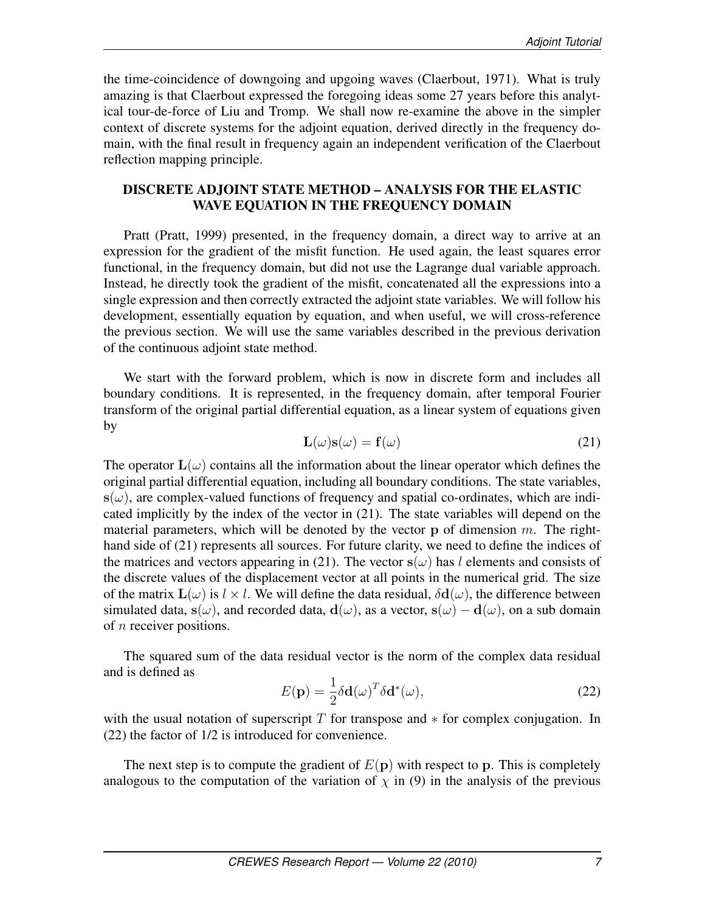the time-coincidence of downgoing and upgoing waves (Claerbout, 1971). What is truly amazing is that Claerbout expressed the foregoing ideas some 27 years before this analytical tour-de-force of Liu and Tromp. We shall now re-examine the above in the simpler context of discrete systems for the adjoint equation, derived directly in the frequency domain, with the final result in frequency again an independent verification of the Claerbout reflection mapping principle.

# DISCRETE ADJOINT STATE METHOD – ANALYSIS FOR THE ELASTIC WAVE EQUATION IN THE FREQUENCY DOMAIN

Pratt (Pratt, 1999) presented, in the frequency domain, a direct way to arrive at an expression for the gradient of the misfit function. He used again, the least squares error functional, in the frequency domain, but did not use the Lagrange dual variable approach. Instead, he directly took the gradient of the misfit, concatenated all the expressions into a single expression and then correctly extracted the adjoint state variables. We will follow his development, essentially equation by equation, and when useful, we will cross-reference the previous section. We will use the same variables described in the previous derivation of the continuous adjoint state method.

We start with the forward problem, which is now in discrete form and includes all boundary conditions. It is represented, in the frequency domain, after temporal Fourier transform of the original partial differential equation, as a linear system of equations given by

$$
\mathbf{L}(\omega)\mathbf{s}(\omega) = \mathbf{f}(\omega) \tag{21}
$$

The operator  $\mathbf{L}(\omega)$  contains all the information about the linear operator which defines the original partial differential equation, including all boundary conditions. The state variables,  $s(\omega)$ , are complex-valued functions of frequency and spatial co-ordinates, which are indicated implicitly by the index of the vector in (21). The state variables will depend on the material parameters, which will be denoted by the vector  $p$  of dimension  $m$ . The righthand side of (21) represents all sources. For future clarity, we need to define the indices of the matrices and vectors appearing in (21). The vector  $s(\omega)$  has l elements and consists of the discrete values of the displacement vector at all points in the numerical grid. The size of the matrix  $\mathbf{L}(\omega)$  is  $l \times l$ . We will define the data residual,  $\delta \mathbf{d}(\omega)$ , the difference between simulated data, s(ω), and recorded data,  $d(\omega)$ , as a vector, s(ω) –  $d(\omega)$ , on a sub domain of n receiver positions.

The squared sum of the data residual vector is the norm of the complex data residual and is defined as

$$
E(\mathbf{p}) = \frac{1}{2} \delta \mathbf{d}(\omega)^T \delta \mathbf{d}^*(\omega),
$$
 (22)

with the usual notation of superscript  $T$  for transpose and  $*$  for complex conjugation. In (22) the factor of 1/2 is introduced for convenience.

The next step is to compute the gradient of  $E(p)$  with respect to p. This is completely analogous to the computation of the variation of  $\chi$  in (9) in the analysis of the previous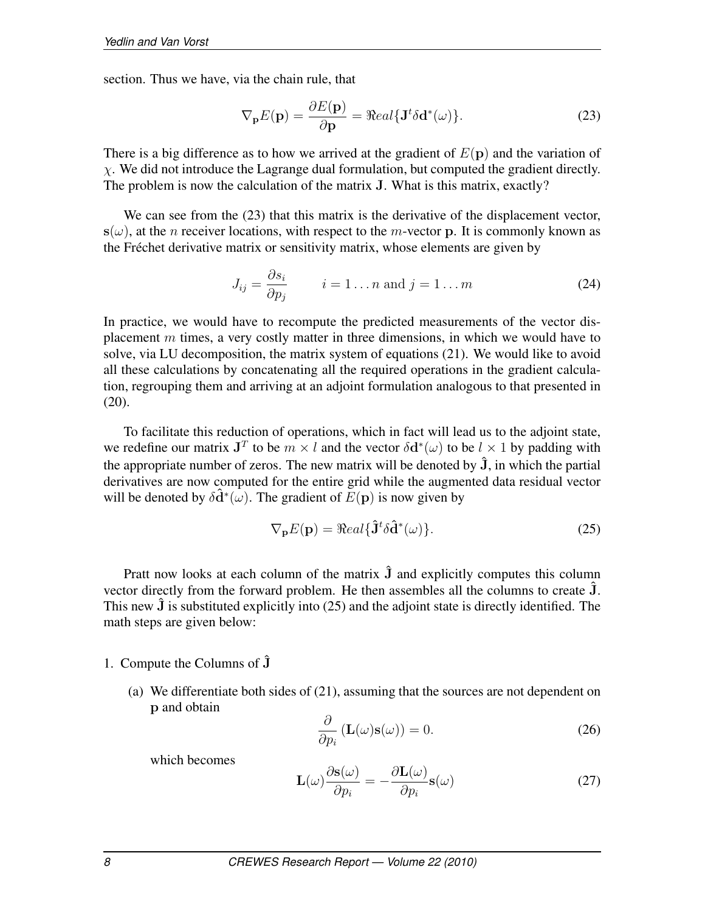section. Thus we have, via the chain rule, that

$$
\nabla_{\mathbf{p}} E(\mathbf{p}) = \frac{\partial E(\mathbf{p})}{\partial \mathbf{p}} = \Re e a l \{ \mathbf{J}^t \delta \mathbf{d}^*(\omega) \}.
$$
 (23)

There is a big difference as to how we arrived at the gradient of  $E(\mathbf{p})$  and the variation of  $\chi$ . We did not introduce the Lagrange dual formulation, but computed the gradient directly. The problem is now the calculation of the matrix J. What is this matrix, exactly?

We can see from the (23) that this matrix is the derivative of the displacement vector,  $s(\omega)$ , at the *n* receiver locations, with respect to the *m*-vector p. It is commonly known as the Fréchet derivative matrix or sensitivity matrix, whose elements are given by

$$
J_{ij} = \frac{\partial s_i}{\partial p_j} \qquad i = 1 \dots n \text{ and } j = 1 \dots m \tag{24}
$$

In practice, we would have to recompute the predicted measurements of the vector displacement  $m$  times, a very costly matter in three dimensions, in which we would have to solve, via LU decomposition, the matrix system of equations (21). We would like to avoid all these calculations by concatenating all the required operations in the gradient calculation, regrouping them and arriving at an adjoint formulation analogous to that presented in  $(20)$ .

To facilitate this reduction of operations, which in fact will lead us to the adjoint state, we redefine our matrix  $J<sup>T</sup>$  to be  $m \times l$  and the vector  $\delta d^*(\omega)$  to be  $l \times 1$  by padding with the appropriate number of zeros. The new matrix will be denoted by  $\hat{J}$ , in which the partial derivatives are now computed for the entire grid while the augmented data residual vector will be denoted by  $\delta \hat{\mathbf{d}}^*(\omega)$ . The gradient of  $E(\mathbf{p})$  is now given by

$$
\nabla_{\mathbf{p}} E(\mathbf{p}) = \Re e a l \{\hat{\mathbf{J}}^t \delta \hat{\mathbf{d}}^*(\omega)\}.
$$
 (25)

Pratt now looks at each column of the matrix  $\hat{J}$  and explicitly computes this column vector directly from the forward problem. He then assembles all the columns to create  $\hat{J}$ . This new  $\hat{J}$  is substituted explicitly into (25) and the adjoint state is directly identified. The math steps are given below:

### 1. Compute the Columns of  $\bar{J}$

(a) We differentiate both sides of (21), assuming that the sources are not dependent on p and obtain

$$
\frac{\partial}{\partial p_i} \left( \mathbf{L}(\omega) \mathbf{s}(\omega) \right) = 0. \tag{26}
$$

which becomes

$$
\mathbf{L}(\omega)\frac{\partial \mathbf{s}(\omega)}{\partial p_i} = -\frac{\partial \mathbf{L}(\omega)}{\partial p_i}\mathbf{s}(\omega)
$$
 (27)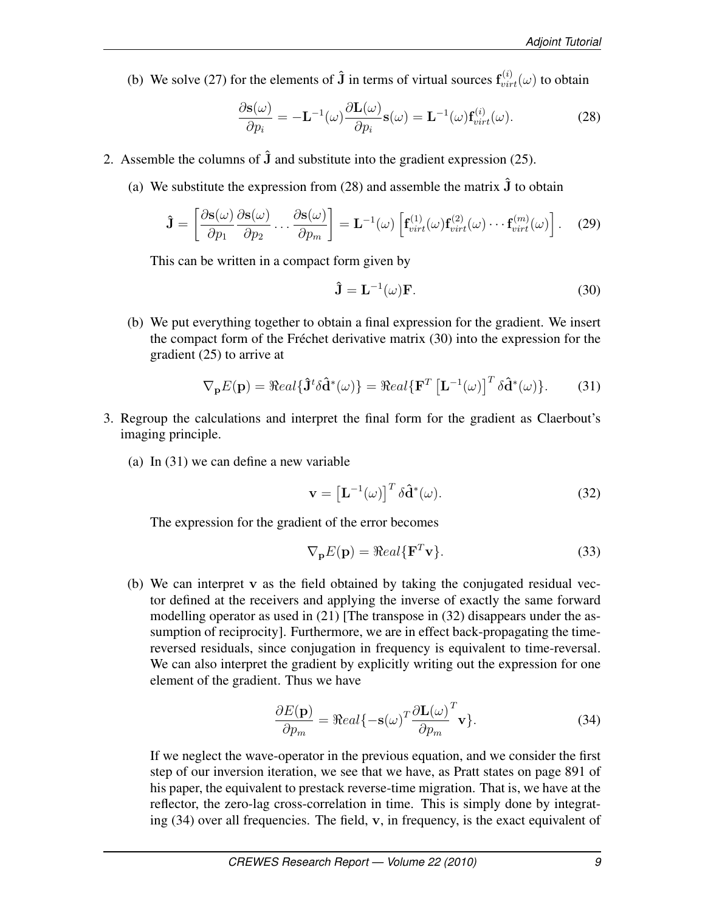(b) We solve (27) for the elements of  $\hat{\mathbf{J}}$  in terms of virtual sources  $\mathbf{f}_{virt}^{(i)}(\omega)$  to obtain

$$
\frac{\partial \mathbf{s}(\omega)}{\partial p_i} = -\mathbf{L}^{-1}(\omega) \frac{\partial \mathbf{L}(\omega)}{\partial p_i} \mathbf{s}(\omega) = \mathbf{L}^{-1}(\omega) \mathbf{f}_{virt}^{(i)}(\omega).
$$
 (28)

- 2. Assemble the columns of  $\hat{J}$  and substitute into the gradient expression (25).
	- (a) We substitute the expression from (28) and assemble the matrix  $\hat{J}$  to obtain

$$
\hat{\mathbf{J}} = \left[ \frac{\partial \mathbf{s}(\omega)}{\partial p_1} \frac{\partial \mathbf{s}(\omega)}{\partial p_2} \dots \frac{\partial \mathbf{s}(\omega)}{\partial p_m} \right] = \mathbf{L}^{-1}(\omega) \left[ \mathbf{f}_{virt}^{(1)}(\omega) \mathbf{f}_{virt}^{(2)}(\omega) \dots \mathbf{f}_{virt}^{(m)}(\omega) \right].
$$
 (29)

This can be written in a compact form given by

$$
\hat{\mathbf{J}} = \mathbf{L}^{-1}(\omega)\mathbf{F}.\tag{30}
$$

(b) We put everything together to obtain a final expression for the gradient. We insert the compact form of the Fréchet derivative matrix (30) into the expression for the gradient (25) to arrive at

$$
\nabla_{\mathbf{p}} E(\mathbf{p}) = \Re eal \{ \hat{\mathbf{J}}^t \delta \hat{\mathbf{d}}^*(\omega) \} = \Re eal \{ \mathbf{F}^T \left[ \mathbf{L}^{-1}(\omega) \right]^T \delta \hat{\mathbf{d}}^*(\omega) \}.
$$
 (31)

- 3. Regroup the calculations and interpret the final form for the gradient as Claerbout's imaging principle.
	- (a) In (31) we can define a new variable

$$
\mathbf{v} = \left[\mathbf{L}^{-1}(\omega)\right]^T \delta \hat{\mathbf{d}}^*(\omega). \tag{32}
$$

The expression for the gradient of the error becomes

$$
\nabla_{\mathbf{p}} E(\mathbf{p}) = \Re e a l \{ \mathbf{F}^T \mathbf{v} \}.
$$
 (33)

(b) We can interpret v as the field obtained by taking the conjugated residual vector defined at the receivers and applying the inverse of exactly the same forward modelling operator as used in (21) [The transpose in (32) disappears under the assumption of reciprocity]. Furthermore, we are in effect back-propagating the timereversed residuals, since conjugation in frequency is equivalent to time-reversal. We can also interpret the gradient by explicitly writing out the expression for one element of the gradient. Thus we have

$$
\frac{\partial E(\mathbf{p})}{\partial p_m} = \Re{cal} \{-\mathbf{s}(\omega)^T \frac{\partial \mathbf{L}(\omega)}{\partial p_m}^T \mathbf{v} \}.
$$
\n(34)

If we neglect the wave-operator in the previous equation, and we consider the first step of our inversion iteration, we see that we have, as Pratt states on page 891 of his paper, the equivalent to prestack reverse-time migration. That is, we have at the reflector, the zero-lag cross-correlation in time. This is simply done by integrating (34) over all frequencies. The field, v, in frequency, is the exact equivalent of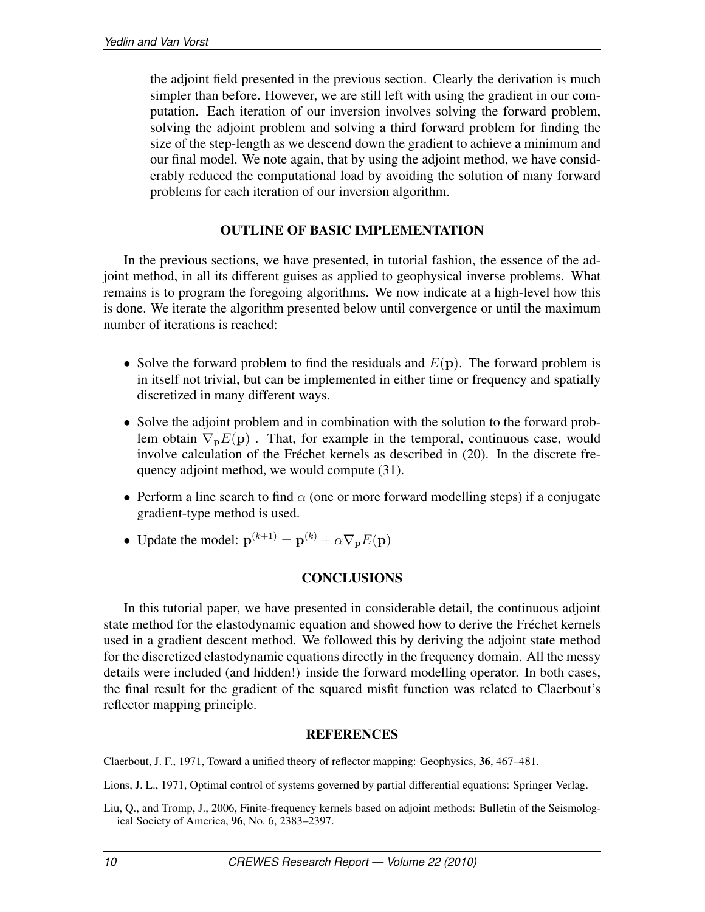the adjoint field presented in the previous section. Clearly the derivation is much simpler than before. However, we are still left with using the gradient in our computation. Each iteration of our inversion involves solving the forward problem, solving the adjoint problem and solving a third forward problem for finding the size of the step-length as we descend down the gradient to achieve a minimum and our final model. We note again, that by using the adjoint method, we have considerably reduced the computational load by avoiding the solution of many forward problems for each iteration of our inversion algorithm.

# OUTLINE OF BASIC IMPLEMENTATION

In the previous sections, we have presented, in tutorial fashion, the essence of the adjoint method, in all its different guises as applied to geophysical inverse problems. What remains is to program the foregoing algorithms. We now indicate at a high-level how this is done. We iterate the algorithm presented below until convergence or until the maximum number of iterations is reached:

- Solve the forward problem to find the residuals and  $E(\mathbf{p})$ . The forward problem is in itself not trivial, but can be implemented in either time or frequency and spatially discretized in many different ways.
- Solve the adjoint problem and in combination with the solution to the forward problem obtain  $\nabla_{\mathbf{p}}E(\mathbf{p})$ . That, for example in the temporal, continuous case, would involve calculation of the Fréchet kernels as described in (20). In the discrete frequency adjoint method, we would compute (31).
- Perform a line search to find  $\alpha$  (one or more forward modelling steps) if a conjugate gradient-type method is used.
- Update the model:  $\mathbf{p}^{(k+1)} = \mathbf{p}^{(k)} + \alpha \nabla_{\mathbf{p}} E(\mathbf{p})$

# **CONCLUSIONS**

In this tutorial paper, we have presented in considerable detail, the continuous adjoint state method for the elastodynamic equation and showed how to derive the Fréchet kernels used in a gradient descent method. We followed this by deriving the adjoint state method for the discretized elastodynamic equations directly in the frequency domain. All the messy details were included (and hidden!) inside the forward modelling operator. In both cases, the final result for the gradient of the squared misfit function was related to Claerbout's reflector mapping principle.

# **REFERENCES**

Claerbout, J. F., 1971, Toward a unified theory of reflector mapping: Geophysics, 36, 467–481.

Lions, J. L., 1971, Optimal control of systems governed by partial differential equations: Springer Verlag.

Liu, Q., and Tromp, J., 2006, Finite-frequency kernels based on adjoint methods: Bulletin of the Seismological Society of America, 96, No. 6, 2383–2397.